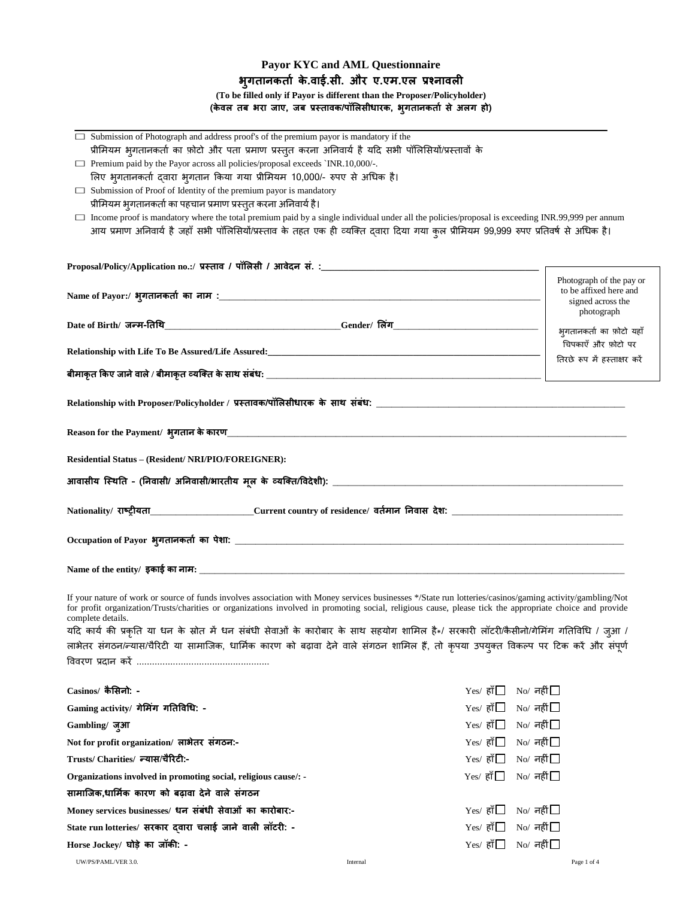# **Payor KYC and AML Questionnaire भुगतानकताा के.वाई.सी. और ए.एम.एल प्रश्नावली (To be filled only if Payor is different than the Proposer/Policyholder) (के वल तब भरा जाए, जब प्रस्तावक/पॉललसीधारक, भुगतानकताा से अलग हो)**

| $\Box$ Submission of Photograph and address proof's of the premium payor is mandatory if the                                                                                                                         |                                                                  |
|----------------------------------------------------------------------------------------------------------------------------------------------------------------------------------------------------------------------|------------------------------------------------------------------|
| प्रीमियम भुगतानकर्ता का फ़ोटो और पता प्रमाण प्रस्तुत करना अनिवार्य है यदि सभी पॉलिसियों/प्रस्तावों के                                                                                                                |                                                                  |
| □ Premium paid by the Payor across all policies/proposal exceeds `INR.10,000/-.                                                                                                                                      |                                                                  |
| लिए भुगतानकर्ता द्वारा भुगतान किया गया प्रीमियम 10,000/- रुपए से अधिक है।                                                                                                                                            |                                                                  |
| $\Box$ Submission of Proof of Identity of the premium payor is mandatory                                                                                                                                             |                                                                  |
| प्रीमियम भ्गतानकर्ता का पहचान प्रमाण प्रस्तुत करना अनिवार्य है।<br>□ Income proof is mandatory where the total premium paid by a single individual under all the policies/proposal is exceeding INR.99,999 per annum |                                                                  |
| आय प्रमाण अनिवार्य है जहाँ सभी पॉलिसियॉ/प्रस्ताव के तहत एक ही व्यक्ति द्वारा दिया गया कुल प्रीमियम 99,999 रुपए प्रतिवर्ष से अधिक है।                                                                                 |                                                                  |
|                                                                                                                                                                                                                      |                                                                  |
|                                                                                                                                                                                                                      |                                                                  |
|                                                                                                                                                                                                                      |                                                                  |
|                                                                                                                                                                                                                      | Photograph of the pay or<br>to be affixed here and               |
|                                                                                                                                                                                                                      | signed across the                                                |
|                                                                                                                                                                                                                      | photograph                                                       |
|                                                                                                                                                                                                                      | भूगतानकर्ता का फ़ोटो यहाँ                                        |
|                                                                                                                                                                                                                      | चिपकाएँ और फ़ोटो पर                                              |
|                                                                                                                                                                                                                      | तिरछे रूप में हस्ताक्षर करें                                     |
|                                                                                                                                                                                                                      |                                                                  |
|                                                                                                                                                                                                                      |                                                                  |
|                                                                                                                                                                                                                      |                                                                  |
|                                                                                                                                                                                                                      |                                                                  |
|                                                                                                                                                                                                                      |                                                                  |
|                                                                                                                                                                                                                      |                                                                  |
| Residential Status – (Resident/ NRI/PIO/FOREIGNER):                                                                                                                                                                  |                                                                  |
|                                                                                                                                                                                                                      |                                                                  |
|                                                                                                                                                                                                                      |                                                                  |
|                                                                                                                                                                                                                      |                                                                  |
|                                                                                                                                                                                                                      |                                                                  |
|                                                                                                                                                                                                                      |                                                                  |
|                                                                                                                                                                                                                      |                                                                  |
|                                                                                                                                                                                                                      |                                                                  |
| If your nature of work or source of funds involves association with Money services businesses */State run lotteries/casinos/gaming activity/gambling/Not                                                             |                                                                  |
| for profit organization/Trusts/charities or organizations involved in promoting social, religious cause, please tick the appropriate choice and provide                                                              |                                                                  |
| complete details.                                                                                                                                                                                                    |                                                                  |
| यदि कार्य की प्रकृति या धन के स्रोत में धन संबंधी सेवाओं के कारोबार के साथ सहयोग शामिल है*/ सरकारी लॉटरी/कैसीनो/गेमिंग गतिविधि / जुआ /                                                                               |                                                                  |
| लाभेतर संगठन/न्यास/चैरिटी या सामाजिक, धार्मिक कारण को बढ़ावा देने वाले संगठन शामिल हैं, तो कृपया उपयुक्त विकल्प पर टिक करें और संपूर्ण                                                                               |                                                                  |
|                                                                                                                                                                                                                      |                                                                  |
|                                                                                                                                                                                                                      |                                                                  |
| Casinos/ कैसिनो: -                                                                                                                                                                                                   | $Yes/$ हाँ $\Box$ No/ नहीं $\Box$                                |
| Gaming activity/ गेमिंग गतिविधि: -                                                                                                                                                                                   | $Yes/$ हाँ $\Box$ No/ नहीं $\Box$                                |
| Gambling/जुआ                                                                                                                                                                                                         | $Yes/$ हाँ $\Box$ No/ नहीं $\Box$                                |
| Not for profit organization/ लाभेतर संगठन:-                                                                                                                                                                          | $Yes/$ हाँ $\Box$ No/ नहीं $\Box$                                |
| Trusts/ Charities/ न्यास/चैरिटी:-                                                                                                                                                                                    | $Yes/$ हाँ $\square$ No/ नहीं $\square$                          |
| Organizations involved in promoting social, religious cause/: -                                                                                                                                                      | $Yes/$ हाँ $\Box$<br>$\mathrm{No}/\sqrt{\mathsf{m}\mathsf{f}^2}$ |
|                                                                                                                                                                                                                      |                                                                  |

**Money services businesses/ धन संबंधी सेवाओं का कारोबार:-** Yes/ हााँ No/ नहीं

State run lotteries/ सरकार द्वारा चलाई जाने वाली लॉटरी: -<br>Yes/ हाँ□ No/ नहीं □ **Horse Jockey/ घोडे का जॉकी: -** Yes/ हााँ No/ नहीं

UW/PS/PAML/VER 3.0. Page 1 of 4 and 2 and 2 and 2 and 2 and 2 and 2 and 2 and 2 and 2 and 2 and 2 and 2 and 2 and 2 and 2 and 2 and 2 and 2 and 2 and 2 and 2 and 2 and 2 and 2 and 2 and 2 and 2 and 2 and 2 and 2 and 2 and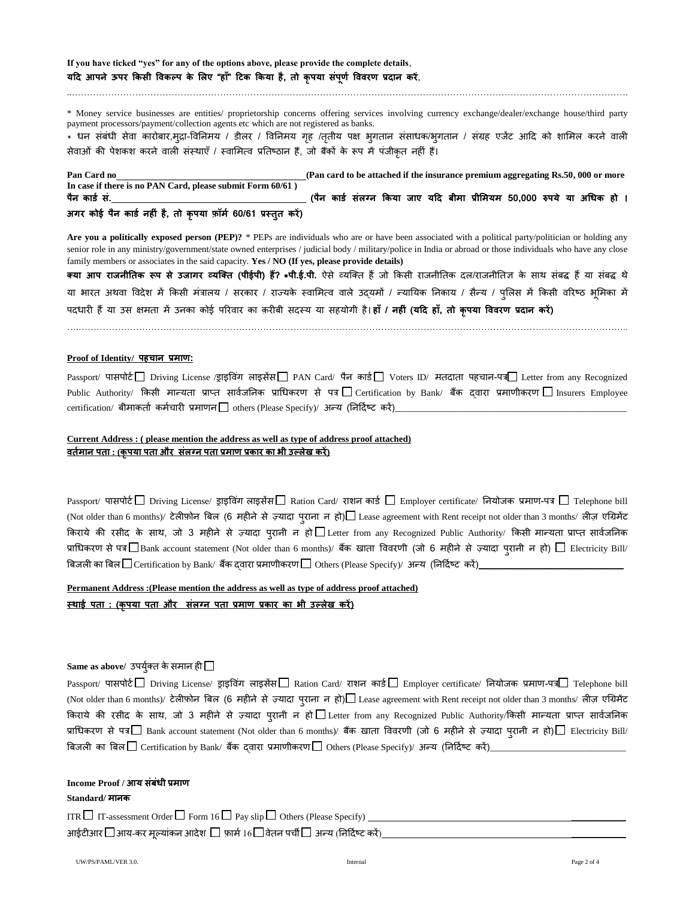**If you have ticked "yes" for any of the options above, please provide the complete details**, **यदद आपने ऊपर ककसी ववकल्प के ललए "हााँ" दटक ककया है, तो कृपया सपं णू ा वववरण प्रदान करें**,

\* Money service businesses are entities/ proprietorship concerns offering services involving currency exchange/dealer/exchange house/third party payment processors/payment/collection agents etc which are not registered as banks.

..………………………………………………………………………………………………………………………………………………………………….

\* धन संबंधी सेवा कारोबार,मुद्रा-विनिमय / डीलर / विनिमय गृह /तृतीय पक्ष भृगतान संसाधक/भृगतान / संग्रह एजेंट आदि को शामिल करने वाली सेवाओं की पेशकश करने वाली संस्थाएँ / स्वामित्व प्रतिष्ठान हैं, जो बैंकों के रूप में पंजीकृत नहीं हैं।

**Pan Card no (Pan card to be attached if the insurance premium aggregating Rs.50, 000 or more In case if there is no PAN Card, please submit Form 60/61 ) पैन कार्ा सं. (पैन कार्ा संलग्न ककया जाए यदद बीमा प्रीलमयम 50,000 रुपये या अथधक हो ।**

# **अगर कोई पैन कार्ा नहीं है, तो कृपया फॉमा 60/61 प्रस्तुत करें)**

Are you a politically exposed person (PEP)? \* PEPs are individuals who are or have been associated with a political party/politician or holding any senior role in any ministry/government/state owned enterprises / judicial body / military/police in India or abroad or those individuals who have any close family members or associates in the said capacity. **Yes / NO (If yes, please provide details)**

**तया आप राजनीततक रूप से उजागर व्यक्तत (पीईपी) ह?ैं \*पी.ई.पी.** ऐसे व्यक्तत हैंज़ो ककसी राजनीततक िि/राजनीततज्ञ के साथ संबद्ध हैंया संबद्ध थे या भारत अथवा विदेश में किसी मंत्रालय / सरकार / राज्यके स्वामित्व वाले उद्यमों / न्यायिक निकाय / सैन्य / पुलिस में किसी वरिष्ठ भूमिका में पििारी हैंया उस क्षमता में उनका क़ोई पररवार का क़रीबी सिस्य या सहय़ोगी है। **हााँ / नहीं (यदद हााँ, तो कृपया वववरण प्रदान करें)**

….………………………………………………………………………………………………………………………………………………………………..

### **Proof of Identity/ पहचान प्रमाण:**

Passport/ पासपोर्ट Driving License /ड्राइविंग लाइसेंस PAN Card/ पैन कार्ड Voters ID/ मतदाता पहचान-पत्र Letter from any Recognized Public Authority/ किसी मान्यता प्राप्त सार्वजनिक प्राधिकरण से पत्र $\Box$  Certification by Bank/ बैंक दवारा प्रमाणीकरण  $\Box$  Insurers Employee  $\text{certification/}\n$  बीमाकर्ता कर्मचारी प्रमाणन $\Box$  others (Please Specify)/ अन्य (निर्दिष्ट करें)\_

## **Current Address : ( please mention the address as well as type of address proof attached) वतामान पता : (कृपया पता और संलग्न पता प्रमाण प्रकार का भी उल्लेख करें)**

 $\rm Passport/$  पासपोर्ट $\Box$  Driving License/ ड्राइविंग लाइसेंस $\Box$  Ration Card/ राशन कार्ड  $\Box$  Employer certificate/ नियोजक प्रमाण-पत्र  $\Box$  Telephone bill (Not older than 6 months)/ टेलीफ़ोन बिल (6 महीने से ज़्यादा पुराना न हो) Lease agreement with Rent receipt not older than 3 months/ लीज़ एग्रिमेंट किराये की रसीद के साथ, जो 3 महीने से ज़्यादा प्**रानी न हो** $\Box$  **Letter from any Recognized** Public Authority/ किसी मान्यता प्राप्त सार्वजनिक प्राधिकरण से पत्र $\Box$  Bank account statement (Not older than 6 months)/ बैंक खाता विवरणी (जो 6 महीने से ज़्यादा पुरानी न हो)  $\Box$  Electricity Bill/ बिजली का बिल $\Box$  Certification by Bank/ बैंक द्वारा प्रमाणीकरण $\Box$  Others (Please Specify)/ अन्य (निर्दिष्ट करें)\_

#### **Permanent Address :(Please mention the address as well as type of address proof attached)**

**स्िाई पता : (कृपया पता और सलं ग्न पता प्रमाण प्रकार का भी उल्लेख करें)**

## $\mathop{\mathbf{Same}}\nolimits$  as above/ उपर्युक्त के समान ही  $\Box$

Passport/ पासपोर्ट□ Driving License/ ड्राइविंग लाइसेंस□ Ration Card/ राशन कार्ड□ Employer certificate/ नियोजक प्रमाण-पत्र□ Telephone bill (Not older than 6 months)/ टेलीफ़ोन बिल (6 महीने से ज़्यादा पुराना न हो) $\Box$  Lease agreement with Rent receipt not older than 3 months/ लीज़ एग्रिमेंट किराये की रसीद के साथ, जो 3 महीने से ज़्यादा प्**रानी न हो** $\Box$ **Letter from any Recognized** Public Authority/किसी मान्यता प्राप्त सार्वजनिक प्राधिकरण से पत्र $\Box$  Bank account statement (Not older than 6 months)/ बैंक खाता विवरणी (जो 6 महीने से ज़्यादा प्**रानी न हो)** $\Box$  **Electricity Bill**/ बिजली का बिल $\Box$  Certification by Bank/ बैंक दवारा प्रमाणीकरण $\Box$  Others (Please Specify)/ अन्य (निर्दिष्ट करें)\_

### **Income Proof / आय संबंधी प्रमाण**

#### **Standard/ मानक**

ITR  $\Box$  IT-assessment Order  $\Box$  Form 16  $\Box$  Pay slip  $\Box$  Others (Please Specify) आईटीआर  $\Box$ आय-कर मूल्यांकन आदेश  $\Box$  फ़ार्म 16  $\Box$  वेतन पर्ची  $\Box$  अन्य (निर्दिष्ट करें)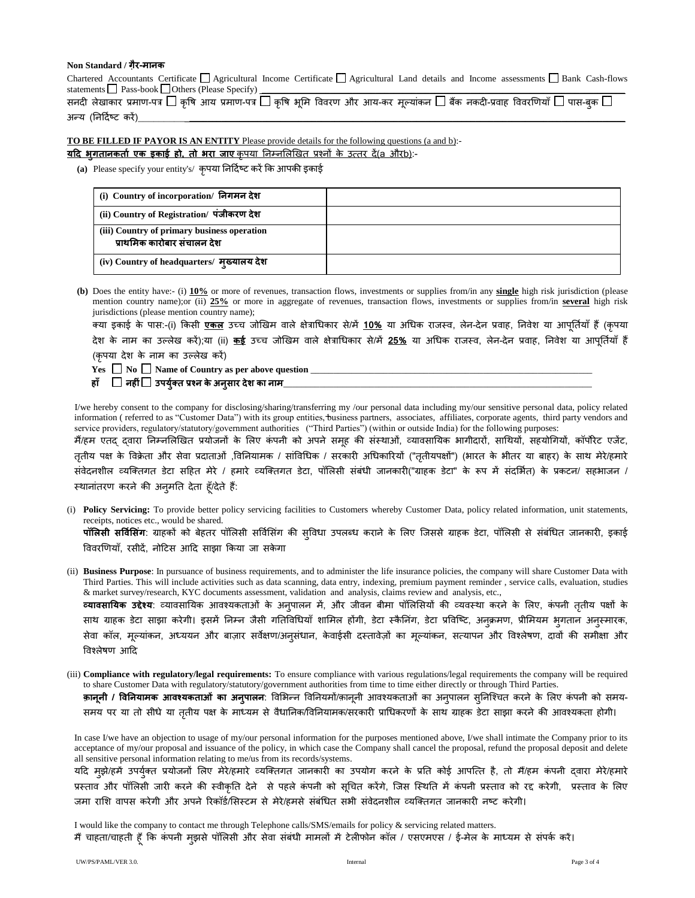### **Non Standard / गैर-मानक**

Chartered Accountants Certificate  $\Box$  Agricultural Income Certificate  $\Box$  Agricultural Land details and Income assessments  $\Box$  Bank Cash-flows statements  $\Box$  Pass-book  $\Box$  Others (Please Specify)

|                       |  |  |  |  |  |  | सनदी लेखाकार प्रमाण-पत्र $\Box$ कृषि आय प्रमाण-पत्र $\Box$ कृषि भूमि विवरण और आय-कर मूल्यांकन $\Box$ बैंक नकदी-प्रवाह विवरणियाँ $\Box$ पास-बुक $\Box$ |  |
|-----------------------|--|--|--|--|--|--|-------------------------------------------------------------------------------------------------------------------------------------------------------|--|
| अन्य (निर्दिष्ट करें) |  |  |  |  |  |  |                                                                                                                                                       |  |

**TO BE FILLED IF PAYOR IS AN ENTITY** Please provide details for the following questions (a and b):-

**यदद भुगतानकताा एक इकाई हो, तो भरा जाए** कृपया तनम्नमिणखत प्रश्नों के उत्तर िें(a औरb):-

**(a)** Please specify your entity's/ कृपया तनदिाष्ट करेंकक आपकी इकाई

| (i) Country of incorporation/ निगमन देश                                    |  |
|----------------------------------------------------------------------------|--|
| (ii) Country of Registration/ पंजीकरण देश                                  |  |
| (iii) Country of primary business operation<br>प्राथमिक कारोबार संचालन देश |  |
| (iv) Country of headquarters/ मुख्यालय देश                                 |  |

**(b)** Does the entity have:- (i) **10%** or more of revenues, transaction flows, investments or supplies from/in any **single** high risk jurisdiction (please mention country name);or (ii) **25%** or more in aggregate of revenues, transaction flows, investments or supplies from/in **several** high risk jurisdictions (please mention country name);

तया इकाई के पास:-(i) ककसी **एकल** उच्ि ज़ोणखम वािे क्षेत्राचिकार से/में **10%** या अचिक राजस्व, िेन-िेन प्रवाह, तनवेश या आपतूतया ााँहैं(कृपया देश के नाम का उल्लेख करें);या (ii) <u>कई</u> उच्च जोखिम वाले क्षेत्राधिकार से/में <u>25%</u> या अधिक राजस्व, लेन-देन प्रवाह, निवेश या आपतियाँ हैं (कृपया देश के नाम का उल्लेख करें)

Yes  $\Box$  No  $\Box$  Name of Country as per above question

**हााँ नहीं उपयतुा त प्रश्न केअनसु ार देश का नाम**\_\_\_\_\_\_\_\_\_\_\_\_\_\_\_\_\_\_\_\_\_\_\_\_\_\_\_\_\_\_\_\_\_\_\_\_\_\_\_\_\_\_\_\_\_\_\_\_\_\_\_\_\_\_\_\_\_\_\_\_\_\_\_\_\_\_\_\_

I/we hereby consent to the company for disclosing/sharing/transferring my /our personal data including my/our sensitive personal data, policy related information ( referred to as "Customer Data") with its group entities, business partners, associates, affiliates, corporate agents, third party vendors and service providers, regulatory/statutory/government authorities ("Third Parties") (within or outside India) for the following purposes:

मैं/हम एतद् द्वारा निम्नलिखित प्रयोजनों के लिए कंपनी को अपने समूह की संस्थाओं, व्यावसायिक भागीदारों, साथियों, सहयोगियों, कॉर्पोरेट एजेंट, तृतीय पक्ष के विक्रेता और सेवा प्रदाताओं ,विनियामक / सांविधिक / सरकारी अधिकारियों ("तृतीयपक्षों") (भारत के भीतर या बाहर) के साथ मेरे/हमारे संवेदनशील व्यक्तिगत डेटा सहित मेरे / हमारे व्यक्तिगत डेटा, पॉलिसी संबंधी जानकारी("ग्राहक डेटा" के रूप में संदर्भित) के प्रकटन/ सहभाजन / स्थानांतरण करने की अनुमति देता हूँ/देते हैं:

- (i) **Policy Servicing:** To provide better policy servicing facilities to Customers whereby Customer Data, policy related information, unit statements, receipts, notices etc., would be shared. **पॉलिसी सर्विसिंग**: ग्राहकों को बेहतर पॉलिसी सर्विसिंग की सुविधा उपलब्ध कराने के लिए जिससे ग्राहक डेटा, पॉलिसी से संबंधित जानकारी, इकाई विवरणियाँ, रसीदें, नोटिस आदि साझा किया जा सकेगा
- (ii) **Business Purpose**: In pursuance of business requirements, and to administer the life insurance policies, the company will share Customer Data with Third Parties. This will include activities such as data scanning, data entry, indexing, premium payment reminder , service calls, evaluation, studies & market survey/research, KYC documents assessment, validation and analysis, claims review and analysis, etc., **व्यावसायिक उद्देश्य**: व्यावसायिक आवश्यकताओं के अन्**पालन में, और जीवन बीमा पॉलिसियों की व्य**वस्था करने के लिए, कंपनी तृतीय पक्षों के साथ ग्राहक डेटा साझा करेगी। इसमें निम्न जैसी गतिविधियाँ शामिल होंगी, डेटा स्कैनिंग, डेटा प्रविष्टि, अनक्रमण, प्रीमियम भुगतान अनस्मारक, सेवा कॉल, मूल्यांकन, अध्ययन और बाज़ार सर्वेक्षण/अनुसंधान, केवाईसी दस्तावेज़ों का मूल्यांकन, सत्यापन और विश्लेषण, दावों की समीक्षा और विश्लेषण आदि
- (iii) **Compliance with regulatory/legal requirements:** To ensure compliance with various regulations/legal requirements the company will be required to share Customer Data with regulatory/statutory/government authorities from time to time either directly or through Third Parties. **क़ानूनी / विनियामक आवश्यकताओं का अनुपालन: विभिन्न विनियमों/क़ानूनी आवश्यकताओं का अनुपालन सुनिश्चित करने के लिए कंपनी को समय-**

समय पर या तो सीधे या तृतीय पक्ष के माध्यम से वैधानिक/विनियामक/सरकारी प्राधिकरणों के साथ ग्राहक डेटा साझा करने की आवश्यकता होगी।

In case I/we have an objection to usage of my/our personal information for the purposes mentioned above, I/we shall intimate the Company prior to its acceptance of my/our proposal and issuance of the policy, in which case the Company shall cancel the proposal, refund the proposal deposit and delete all sensitive personal information relating to me/us from its records/systems.

यदि मुझे/हमें उपर्युक्त प्रयोजनों लिए मेरे/हमारे व्यक्तिगत जानकारी का उपयोग करने के प्रति कोई आपत्ति है, तो मैं/हम कंपनी दवारा मेरे/हमारे प्रस्ताव और पॉलिसी जारी करने की स्वीकृति देने से पहले कंपनी को सूचित करेंगे, जिस स्थिति में कंपनी प्रस्ताव को रद्द करेगी, प्रस्ताव के लिए जमा राशि वापस करेगी और अपने रिकॉर्ड/सिस्टम से मेरे/हमसे संबंधित सभी संवेदनशील व्यक्तिगत जानकारी नष्ट करेगी।

I would like the company to contact me through Telephone calls/SMS/emails for policy & servicing related matters. मैं चाहता/चाहती हूँ कि कंपनी मुझसे पॉलिसी और सेवा संबंधी मामलों में टेलीफोन कॉल / एसएमएस / ई-मेल के माध्यम से संपर्क करें।